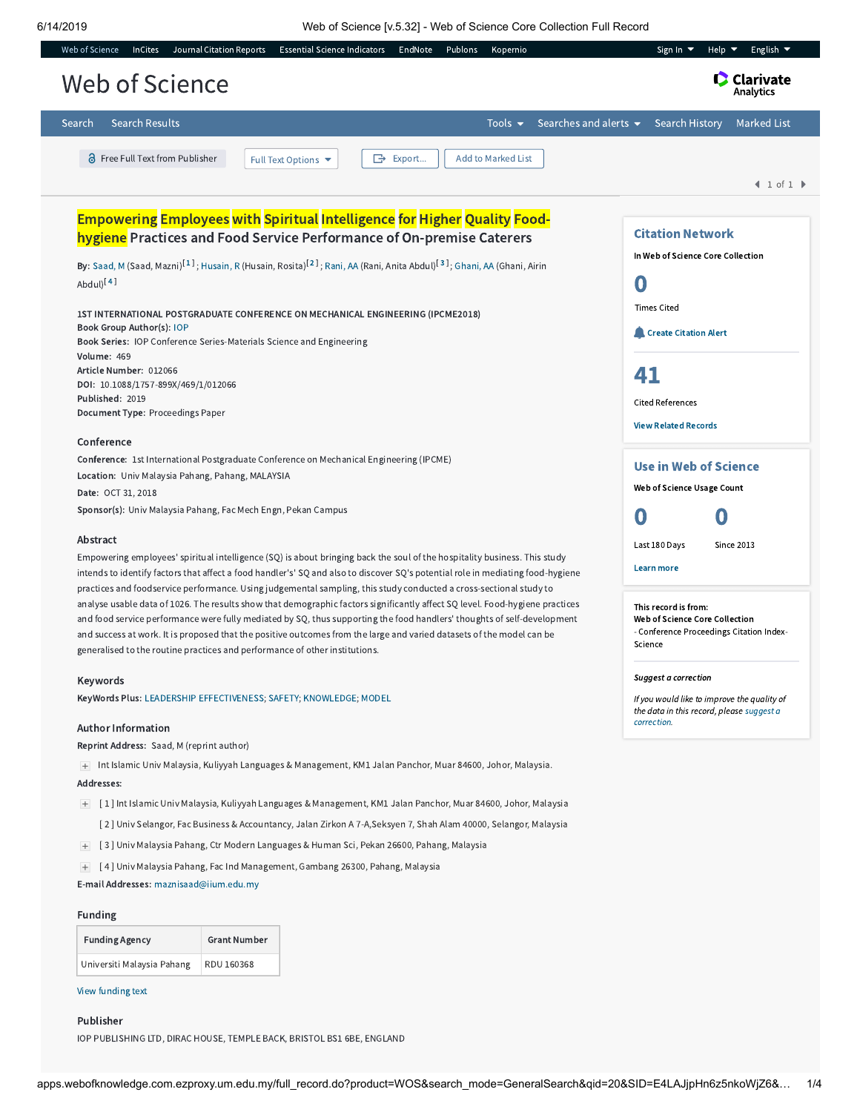6/14/2019 Web of Science [v.5.32] - Web of Science Core Collection Full Record